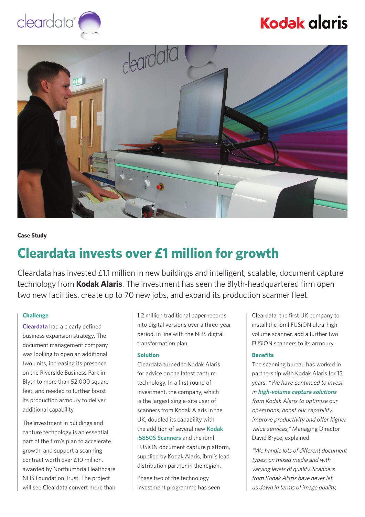# **Kodak alaris**





**Case Study**

### **Cleardata invests over £1 million for growth**

Cleardata has invested £1.1 million in new buildings and intelligent, scalable, document capture technology from **Kodak Alaris**. The investment has seen the Blyth-headquartered firm open two new facilities, create up to 70 new jobs, and expand its production scanner fleet.

#### **Challenge**

**[Cleardata](https://www.cleardatagroup.co.uk/)** had a clearly defined business expansion strategy. The document management company was looking to open an additional two units, increasing its presence on the Riverside Business Park in Blyth to more than 52,000 square feet, and needed to further boost its production armoury to deliver additional capability.

The investment in buildings and capture technology is an essential part of the firm's plan to accelerate growth, and support a scanning contract worth over £10 million, awarded by Northumbria Healthcare NHS Foundation Trust. The project will see Cleardata convert more than

1.2 million traditional paper records into digital versions over a three-year period, in line with the NHS digital transformation plan.

#### **Solution**

Cleardata turned to Kodak Alaris for advice on the latest capture technology. In a first round of investment, the company, which is the largest single-site user of scanners from Kodak Alaris in the UK, doubled its capability with the addition of several new **[Kodak](https://www.alarisworld.com/solutions/document-scanners/production/i5850s-scanner?utm_source=pr&utm_medium=casestudy&utm_campaign=Cleardata)  [i5850S Scanners](https://www.alarisworld.com/solutions/document-scanners/production/i5850s-scanner?utm_source=pr&utm_medium=casestudy&utm_campaign=Cleardata)** and the ibml FUSiON document capture platform, supplied by Kodak Alaris, ibml's lead distribution partner in the region.

Phase two of the technology investment programme has seen Cleardata, the first UK company to install the ibml FUSiON ultra-high volume scanner, add a further two FUSiON scanners to its armoury.

#### **Benefits**

The scanning bureau has worked in partnership with Kodak Alaris for 15 years. "We have continued to invest in **[high-volume capture solutions](https://www.alarisworld.com/en-gb/solutions/document-scanners/production?utm_source=pr&utm_medium=casestudy&utm_campaign=Cleardata)** from Kodak Alaris to optimise our operations, boost our capability, improve productivity and offer higher value services," Managing Director David Bryce, explained.

"We handle lots of different document types, on mixed media and with varying levels of quality. Scanners from Kodak Alaris have never let us down in terms of image quality,